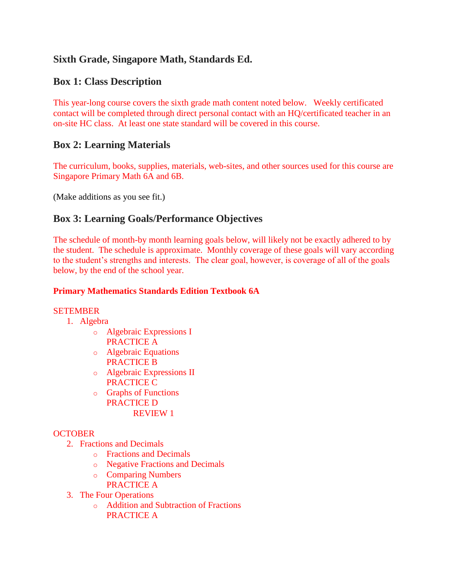# **Sixth Grade, Singapore Math, Standards Ed.**

## **Box 1: Class Description**

This year-long course covers the sixth grade math content noted below. Weekly certificated contact will be completed through direct personal contact with an HQ/certificated teacher in an on-site HC class. At least one state standard will be covered in this course.

## **Box 2: Learning Materials**

The curriculum, books, supplies, materials, web-sites, and other sources used for this course are Singapore Primary Math 6A and 6B.

(Make additions as you see fit.)

## **Box 3: Learning Goals/Performance Objectives**

The schedule of month-by month learning goals below, will likely not be exactly adhered to by the student. The schedule is approximate. Monthly coverage of these goals will vary according to the student's strengths and interests. The clear goal, however, is coverage of all of the goals below, by the end of the school year.

#### **Primary Mathematics Standards Edition Textbook 6A**

#### **SETEMBER**

- 1. Algebra
	- o Algebraic Expressions I PRACTICE A
	- o Algebraic Equations PRACTICE B
	- o Algebraic Expressions II PRACTICE C
	- o Graphs of Functions PRACTICE D REVIEW 1

#### **OCTOBER**

- 2. Fractions and Decimals
	- o Fractions and Decimals
	- o Negative Fractions and Decimals
	- o Comparing Numbers PRACTICE A
- 3. The Four Operations
	- o Addition and Subtraction of Fractions PRACTICE A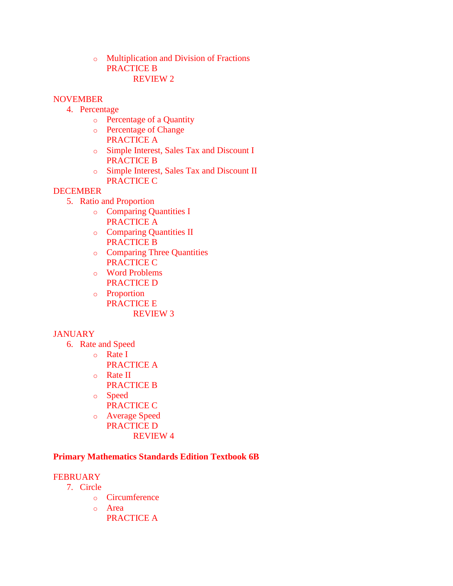o Multiplication and Division of Fractions PRACTICE B REVIEW 2

#### **NOVEMBER**

- 4. Percentage
	- o Percentage of a Quantity
	- o Percentage of Change PRACTICE A
	- o Simple Interest, Sales Tax and Discount I PRACTICE B
	- o Simple Interest, Sales Tax and Discount II PRACTICE C

#### DECEMBER

- 5. Ratio and Proportion
	- o Comparing Quantities I PRACTICE A
	- o Comparing Quantities II PRACTICE B
	- o Comparing Three Quantities PRACTICE C
	- o Word Problems PRACTICE D
	- o Proportion PRACTICE E REVIEW 3

### **JANUARY**

- 6. Rate and Speed
	- o Rate I
	- PRACTICE A o Rate II
	- PRACTICE B
	- o Speed
		- PRACTICE C
	- o Average Speed PRACTICE D REVIEW 4

#### **Primary Mathematics Standards Edition Textbook 6B**

#### **FEBRUARY**

- 7. Circle
	- o Circumference
	- o Area
		- PRACTICE A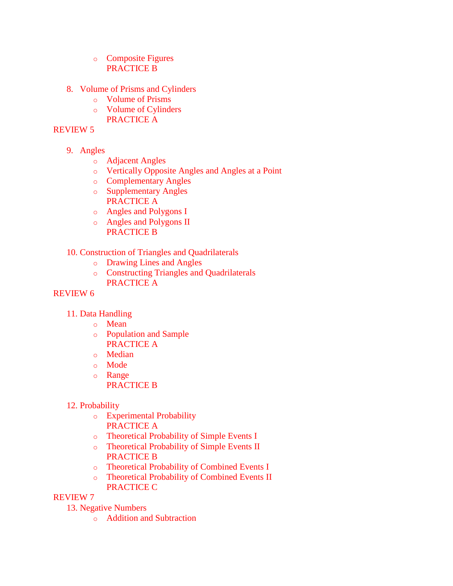- o Composite Figures PRACTICE B
- 8. Volume of Prisms and Cylinders
	- o Volume of Prisms
	- o Volume of Cylinders PRACTICE A

#### REVIEW 5

- 9. Angles
	- o Adjacent Angles
	- o Vertically Opposite Angles and Angles at a Point
	- o Complementary Angles
	- o Supplementary Angles PRACTICE A
	- o Angles and Polygons I
	- o Angles and Polygons II PRACTICE B
- 10. Construction of Triangles and Quadrilaterals
	- o Drawing Lines and Angles
	- o Constructing Triangles and Quadrilaterals PRACTICE A

#### REVIEW 6

- 11. Data Handling
	- o Mean
	- o Population and Sample PRACTICE A
	- o Median
	- o Mode
	- o Range
		- PRACTICE B
- 12. Probability
	- o Experimental Probability PRACTICE A
	- o Theoretical Probability of Simple Events I
	- o Theoretical Probability of Simple Events II PRACTICE B
	- o Theoretical Probability of Combined Events I
	- o Theoretical Probability of Combined Events II PRACTICE C

#### REVIEW 7

13. Negative Numbers

o Addition and Subtraction